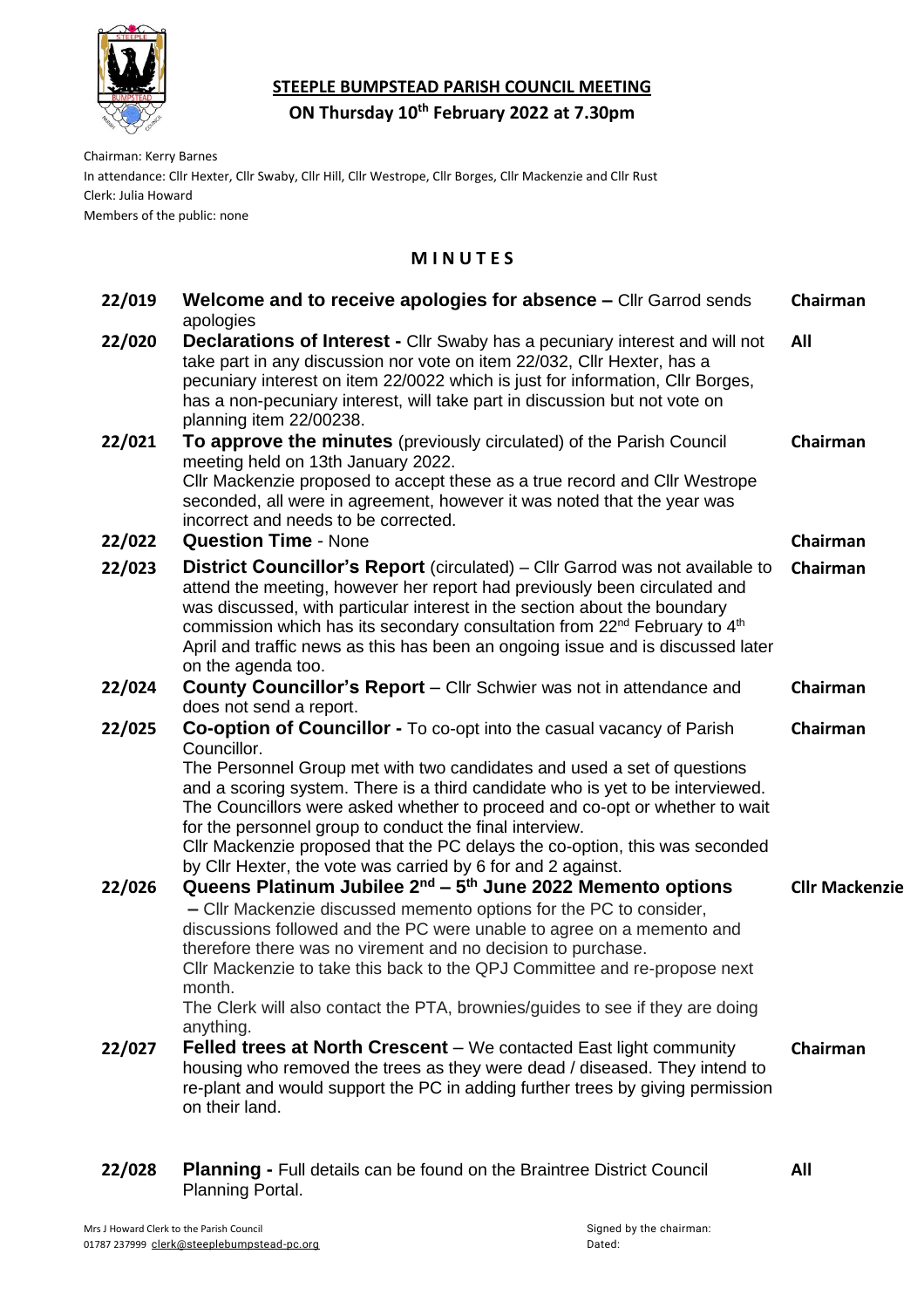

## **STEEPLE BUMPSTEAD PARISH COUNCIL MEETING**

**ON Thursday 10 th February 2022 at 7.30pm**

Chairman: Kerry Barnes

In attendance: Cllr Hexter, Cllr Swaby, Cllr Hill, Cllr Westrope, Cllr Borges, Cllr Mackenzie and Cllr Rust Clerk: Julia Howard

Members of the public: none

## **M I N U T E S**

| 22/019 | Welcome and to receive apologies for absence - Cllr Garrod sends<br>apologies                                                                                                                                                                                                                                                                                                                                                                                                                                                              | Chairman              |
|--------|--------------------------------------------------------------------------------------------------------------------------------------------------------------------------------------------------------------------------------------------------------------------------------------------------------------------------------------------------------------------------------------------------------------------------------------------------------------------------------------------------------------------------------------------|-----------------------|
| 22/020 | <b>Declarations of Interest - Cllr Swaby has a pecuniary interest and will not</b><br>take part in any discussion nor vote on item 22/032, Cllr Hexter, has a<br>pecuniary interest on item 22/0022 which is just for information, Cllr Borges,<br>has a non-pecuniary interest, will take part in discussion but not vote on<br>planning item 22/00238.                                                                                                                                                                                   | All                   |
| 22/021 | To approve the minutes (previously circulated) of the Parish Council<br>meeting held on 13th January 2022.<br>Cllr Mackenzie proposed to accept these as a true record and Cllr Westrope<br>seconded, all were in agreement, however it was noted that the year was<br>incorrect and needs to be corrected.                                                                                                                                                                                                                                | Chairman              |
| 22/022 | <b>Question Time - None</b>                                                                                                                                                                                                                                                                                                                                                                                                                                                                                                                | Chairman              |
| 22/023 | <b>District Councillor's Report</b> (circulated) – Cllr Garrod was not available to<br>attend the meeting, however her report had previously been circulated and<br>was discussed, with particular interest in the section about the boundary<br>commission which has its secondary consultation from 22 <sup>nd</sup> February to 4 <sup>th</sup><br>April and traffic news as this has been an ongoing issue and is discussed later<br>on the agenda too.                                                                                | Chairman              |
| 22/024 | County Councillor's Report - Cllr Schwier was not in attendance and                                                                                                                                                                                                                                                                                                                                                                                                                                                                        | Chairman              |
| 22/025 | does not send a report.                                                                                                                                                                                                                                                                                                                                                                                                                                                                                                                    |                       |
|        | Co-option of Councillor - To co-opt into the casual vacancy of Parish<br>Councillor.<br>The Personnel Group met with two candidates and used a set of questions<br>and a scoring system. There is a third candidate who is yet to be interviewed.<br>The Councillors were asked whether to proceed and co-opt or whether to wait<br>for the personnel group to conduct the final interview.<br>CIIr Mackenzie proposed that the PC delays the co-option, this was seconded<br>by Cllr Hexter, the vote was carried by 6 for and 2 against. | Chairman              |
| 22/026 | Queens Platinum Jubilee $2^{nd}$ – $5^{th}$ June 2022 Memento options<br>- Cllr Mackenzie discussed memento options for the PC to consider,<br>discussions followed and the PC were unable to agree on a memento and<br>therefore there was no virement and no decision to purchase.<br>Cllr Mackenzie to take this back to the QPJ Committee and re-propose next<br>month.<br>The Clerk will also contact the PTA, brownies/guides to see if they are doing<br>anything.                                                                  | <b>Cllr Mackenzie</b> |
| 22/027 | <b>Felled trees at North Crescent</b> – We contacted East light community<br>housing who removed the trees as they were dead / diseased. They intend to<br>re-plant and would support the PC in adding further trees by giving permission<br>on their land.                                                                                                                                                                                                                                                                                | Chairman              |
| 22/028 | <b>Planning - Full details can be found on the Braintree District Council</b><br>Planning Portal.                                                                                                                                                                                                                                                                                                                                                                                                                                          | All                   |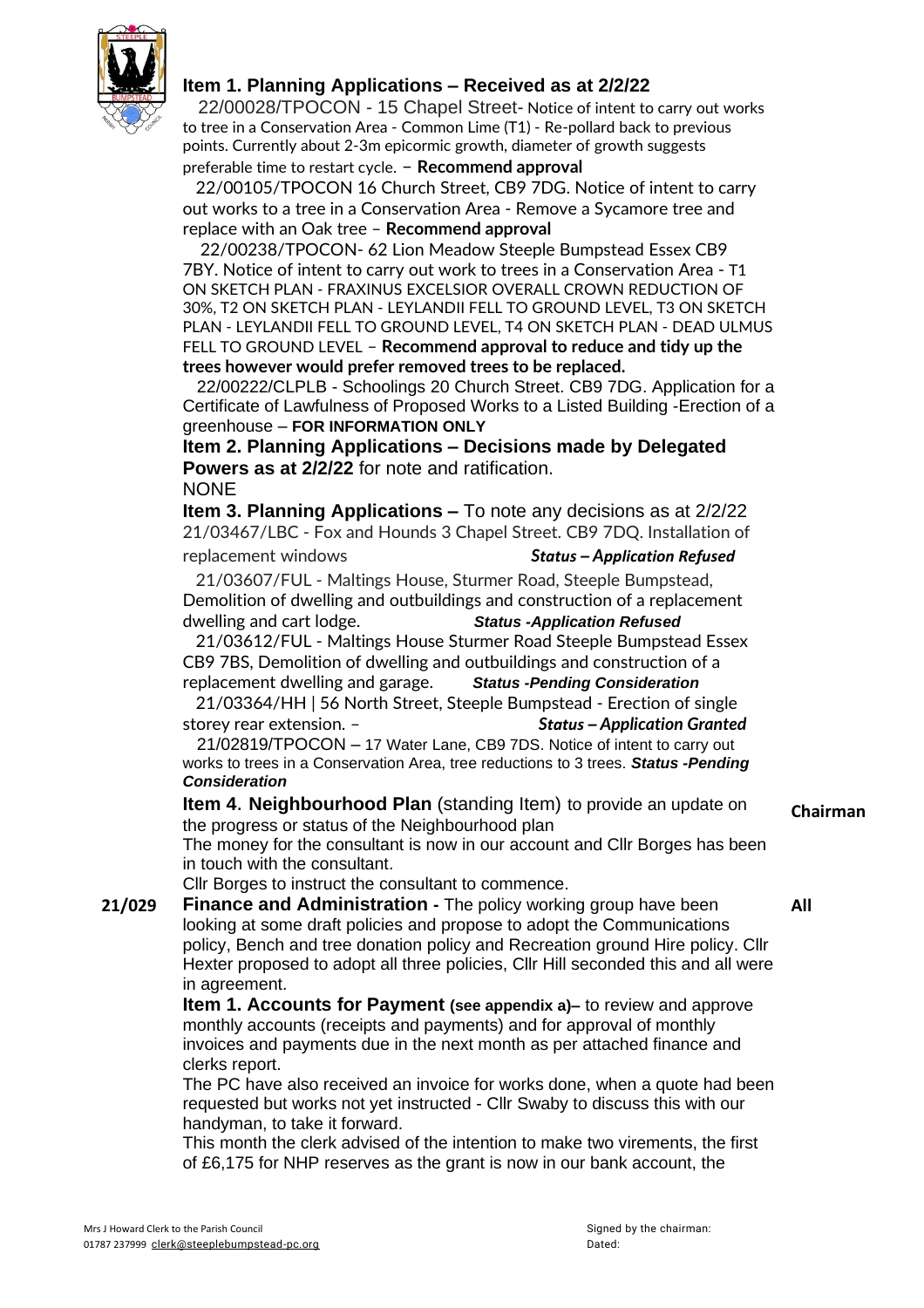

## **Item 1. Planning Applications – Received as at 2/2/22**

 22/00028/TPOCON - 15 Chapel Street- Notice of intent to carry out works to tree in a Conservation Area - Common Lime (T1) - Re-pollard back to previous points. Currently about 2-3m epicormic growth, diameter of growth suggests

preferable time to restart cycle. – **Recommend approval**

 22/00105/TPOCON 16 Church Street, CB9 7DG. Notice of intent to carry out works to a tree in a Conservation Area - Remove a Sycamore tree and replace with an Oak tree – **Recommend approval**

 22/00238/TPOCON- 62 Lion Meadow Steeple Bumpstead Essex CB9 7BY. Notice of intent to carry out work to trees in a Conservation Area - T1 ON SKETCH PLAN - FRAXINUS EXCELSIOR OVERALL CROWN REDUCTION OF 30%, T2 ON SKETCH PLAN - LEYLANDII FELL TO GROUND LEVEL, T3 ON SKETCH PLAN - LEYLANDII FELL TO GROUND LEVEL, T4 ON SKETCH PLAN - DEAD ULMUS FELL TO GROUND LEVEL – **Recommend approval to reduce and tidy up the trees however would prefer removed trees to be replaced.**

 22/00222/CLPLB - Schoolings 20 Church Street. CB9 7DG. Application for a Certificate of Lawfulness of Proposed Works to a Listed Building -Erection of a greenhouse – **FOR INFORMATION ONLY**

**Item 2. Planning Applications – Decisions made by Delegated Powers as at 2/2/22** for note and ratification. **NONE** 

**Item 3. Planning Applications –** To note any decisions as at 2/2/22 21/03467/LBC - Fox and Hounds 3 Chapel Street. CB9 7DQ. Installation of replacement windows *Status – Application Refused*

 21/03607/FUL - Maltings House, Sturmer Road, Steeple Bumpstead, Demolition of dwelling and outbuildings and [construction](https://publicaccess.braintree.gov.uk/online-applications/applicationDetails.do?activeTab=summary&keyVal=R3XYDFBFHNO00&prevPage=inTray) of a replacement [dwelling](https://publicaccess.braintree.gov.uk/online-applications/applicationDetails.do?activeTab=summary&keyVal=R3XYDFBFHNO00&prevPage=inTray) and cart lodge. *Status -Application Refused*

 21/03612/FUL - Maltings House Sturmer Road Steeple Bumpstead Essex CB9 7BS, Demolition of dwelling and outbuildings and construction of a replacement dwelling and garage. *Status -Pending Consideration*

 21/03364/HH | 56 North Street, Steeple Bumpstead - Erection of single storey rear extension. – *Status – Application Granted*

 21/02819/TPOCON – 17 Water Lane, CB9 7DS. Notice of intent to carry out works to trees in a Conservation Area, tree reductions to 3 trees. *Status -Pending Consideration*

**Item 4**. **Neighbourhood Plan** (standing Item) to provide an update on the progress or status of the Neighbourhood plan

The money for the consultant is now in our account and Cllr Borges has been in touch with the consultant.

Cllr Borges to instruct the consultant to commence.

**21/029 Finance and Administration -** The policy working group have been looking at some draft policies and propose to adopt the Communications policy, Bench and tree donation policy and Recreation ground Hire policy. Cllr Hexter proposed to adopt all three policies, Cllr Hill seconded this and all were in agreement.

**Item 1. Accounts for Payment (see appendix a)–** to review and approve monthly accounts (receipts and payments) and for approval of monthly invoices and payments due in the next month as per attached finance and clerks report.

The PC have also received an invoice for works done, when a quote had been requested but works not yet instructed - Cllr Swaby to discuss this with our handyman, to take it forward.

This month the clerk advised of the intention to make two virements, the first of £6,175 for NHP reserves as the grant is now in our bank account, the

**Chairman**

**All**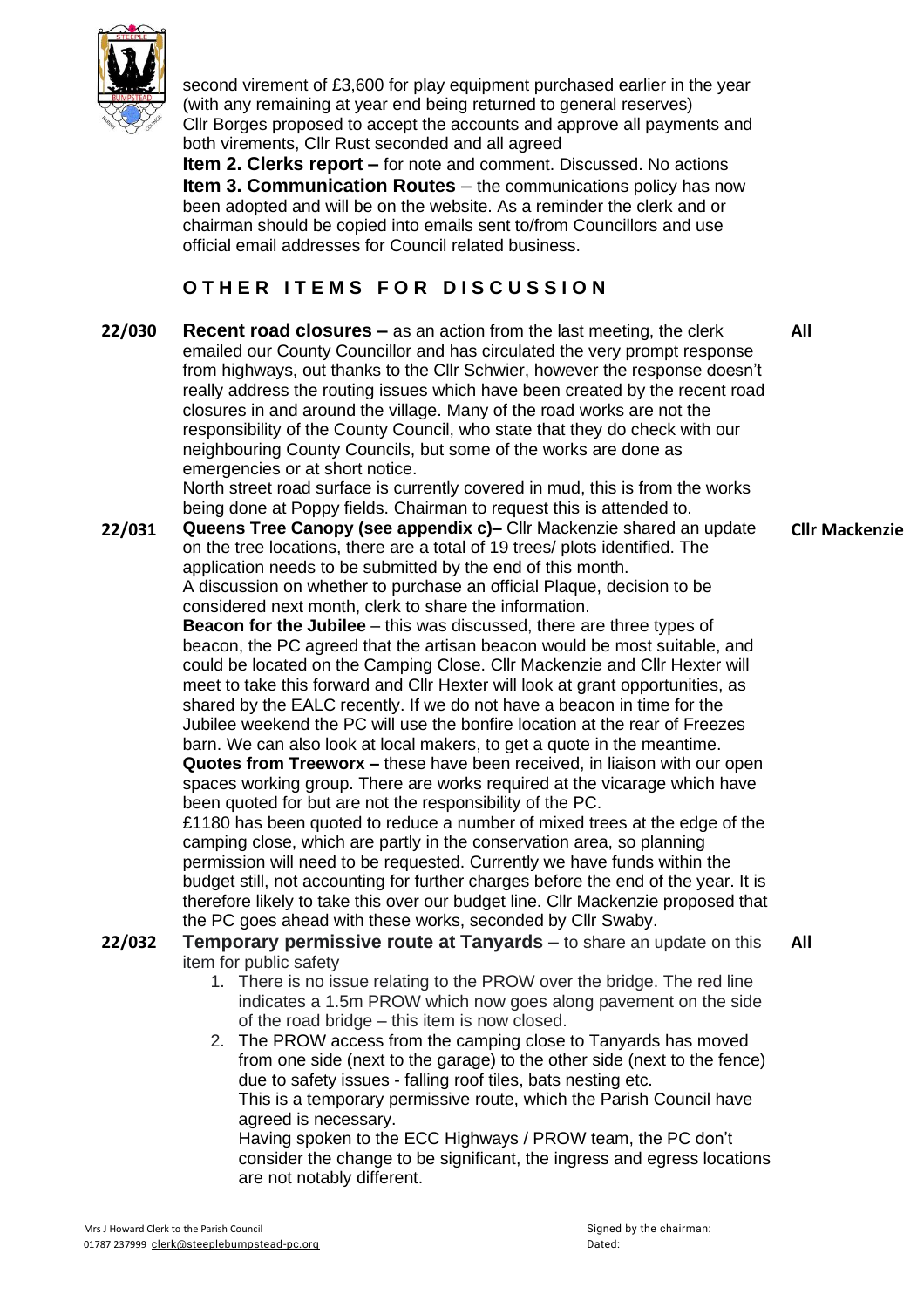

second virement of £3,600 for play equipment purchased earlier in the year (with any remaining at year end being returned to general reserves) Cllr Borges proposed to accept the accounts and approve all payments and both virements, Cllr Rust seconded and all agreed

**Item 2. Clerks report –** for note and comment. Discussed. No actions **Item 3. Communication Routes** – the communications policy has now been adopted and will be on the website. As a reminder the clerk and or chairman should be copied into emails sent to/from Councillors and use official email addresses for Council related business.

# $O$  **THER ITEMS FOR DISCUSSION**

**22/030 Recent road closures –** as an action from the last meeting, the clerk emailed our County Councillor and has circulated the very prompt response from highways, out thanks to the Cllr Schwier, however the response doesn't really address the routing issues which have been created by the recent road closures in and around the village. Many of the road works are not the responsibility of the County Council, who state that they do check with our neighbouring County Councils, but some of the works are done as emergencies or at short notice. **All**

North street road surface is currently covered in mud, this is from the works being done at Poppy fields. Chairman to request this is attended to.

**22/031 Queens Tree Canopy (see appendix c)–** Cllr Mackenzie shared an update on the tree locations, there are a total of 19 trees/ plots identified. The application needs to be submitted by the end of this month. A discussion on whether to purchase an official Plaque, decision to be considered next month, clerk to share the information.

**Beacon for the Jubilee** – this was discussed, there are three types of beacon, the PC agreed that the artisan beacon would be most suitable, and could be located on the Camping Close. Cllr Mackenzie and Cllr Hexter will meet to take this forward and Cllr Hexter will look at grant opportunities, as shared by the EALC recently. If we do not have a beacon in time for the Jubilee weekend the PC will use the bonfire location at the rear of Freezes barn. We can also look at local makers, to get a quote in the meantime. **Quotes from Treeworx –** these have been received, in liaison with our open spaces working group. There are works required at the vicarage which have been quoted for but are not the responsibility of the PC. £1180 has been quoted to reduce a number of mixed trees at the edge of the camping close, which are partly in the conservation area, so planning permission will need to be requested. Currently we have funds within the budget still, not accounting for further charges before the end of the year. It is therefore likely to take this over our budget line. Cllr Mackenzie proposed that

## the PC goes ahead with these works, seconded by Cllr Swaby.

- **22/032 Temporary permissive route at Tanyards** to share an update on this item for public safety **All**
	- 1. There is no issue relating to the PROW over the bridge. The red line indicates a 1.5m PROW which now goes along pavement on the side of the road bridge – this item is now closed.
	- 2. The PROW access from the camping close to Tanyards has moved from one side (next to the garage) to the other side (next to the fence) due to safety issues - falling roof tiles, bats nesting etc. This is a temporary permissive route, which the Parish Council have agreed is necessary.

Having spoken to the ECC Highways / PROW team, the PC don't consider the change to be significant, the ingress and egress locations are not notably different.

**Cllr Mackenzie**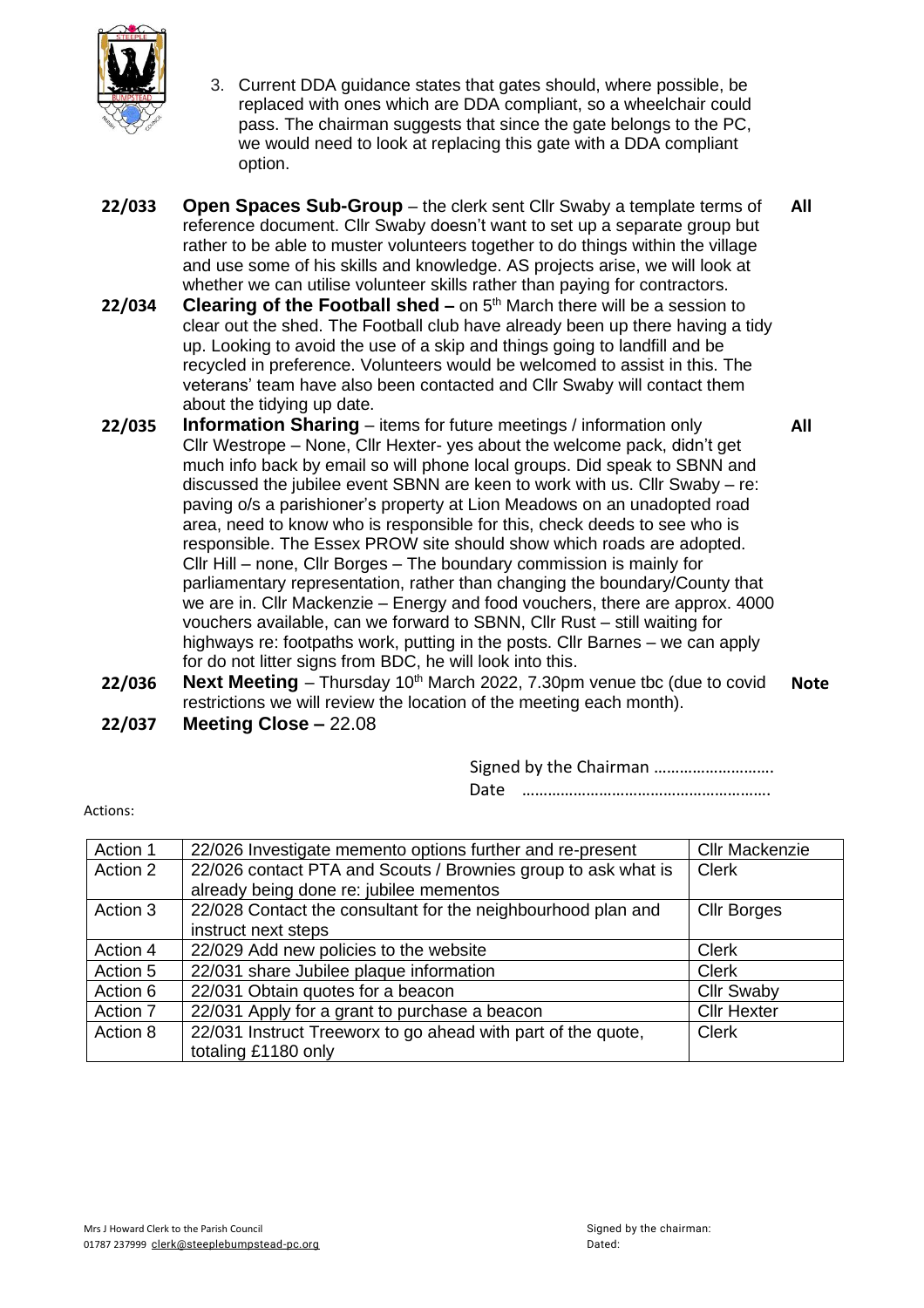

- 3. Current DDA guidance states that gates should, where possible, be replaced with ones which are DDA compliant, so a wheelchair could pass. The chairman suggests that since the gate belongs to the PC, we would need to look at replacing this gate with a DDA compliant option.
- **22/033 Open Spaces Sub-Group** the clerk sent Cllr Swaby a template terms of reference document. Cllr Swaby doesn't want to set up a separate group but rather to be able to muster volunteers together to do things within the village and use some of his skills and knowledge. AS projects arise, we will look at whether we can utilise volunteer skills rather than paying for contractors. **All**
- **22/034 Clearing of the Football shed –** on 5 th March there will be a session to clear out the shed. The Football club have already been up there having a tidy up. Looking to avoid the use of a skip and things going to landfill and be recycled in preference. Volunteers would be welcomed to assist in this. The veterans' team have also been contacted and Cllr Swaby will contact them about the tidying up date.
- **22/035 Information Sharing** items for future meetings / information only Cllr Westrope – None, Cllr Hexter- yes about the welcome pack, didn't get much info back by email so will phone local groups. Did speak to SBNN and discussed the jubilee event SBNN are keen to work with us. Cllr Swaby – re: paving o/s a parishioner's property at Lion Meadows on an unadopted road area, need to know who is responsible for this, check deeds to see who is responsible. The Essex PROW site should show which roads are adopted. Cllr Hill – none, Cllr Borges – The boundary commission is mainly for parliamentary representation, rather than changing the boundary/County that we are in. Cllr Mackenzie – Energy and food vouchers, there are approx. 4000 vouchers available, can we forward to SBNN, Cllr Rust – still waiting for highways re: footpaths work, putting in the posts. Cllr Barnes – we can apply for do not litter signs from BDC, he will look into this. **All**
- **22/036 Next Meeting** Thursday 10th March 2022, 7.30pm venue tbc (due to covid restrictions we will review the location of the meeting each month). **Note 22/037 Meeting Close –** 22.08

Signed by the Chairman ………………………. Date ………………………………………………….

| Action 1 | 22/026 Investigate memento options further and re-present     | <b>Cllr Mackenzie</b> |
|----------|---------------------------------------------------------------|-----------------------|
| Action 2 | 22/026 contact PTA and Scouts / Brownies group to ask what is | <b>Clerk</b>          |
|          | already being done re: jubilee mementos                       |                       |
| Action 3 | 22/028 Contact the consultant for the neighbourhood plan and  | <b>Cllr Borges</b>    |
|          | instruct next steps                                           |                       |
| Action 4 | 22/029 Add new policies to the website                        | <b>Clerk</b>          |
| Action 5 | 22/031 share Jubilee plaque information                       | <b>Clerk</b>          |
| Action 6 | 22/031 Obtain quotes for a beacon                             | <b>Cllr Swaby</b>     |
| Action 7 | 22/031 Apply for a grant to purchase a beacon                 | <b>Cllr Hexter</b>    |
| Action 8 | 22/031 Instruct Treeworx to go ahead with part of the quote,  | <b>Clerk</b>          |
|          | totaling £1180 only                                           |                       |

Actions: